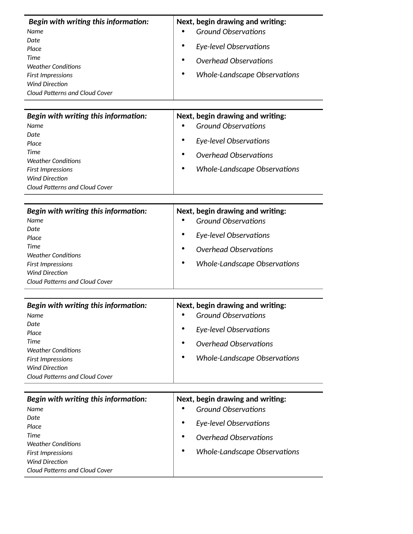| Begin with writing this information:<br>Name<br>Date.<br><b>Place</b><br><b>Time</b><br><b>Weather Conditions</b><br><b>First Impressions</b><br><b>Wind Direction</b><br>Cloud Patterns and Cloud Cover | Next, begin drawing and writing:<br><b>Ground Observations</b><br>Eye-level Observations<br><b>Overhead Observations</b><br>Whole-Landscape Observations |
|----------------------------------------------------------------------------------------------------------------------------------------------------------------------------------------------------------|----------------------------------------------------------------------------------------------------------------------------------------------------------|
| Begin with writing this information:<br>Name<br>Date<br><b>Place</b><br><b>Time</b><br><b>Weather Conditions</b><br><b>First Impressions</b><br><b>Wind Direction</b><br>Cloud Patterns and Cloud Cover  | Next, begin drawing and writing:<br><b>Ground Observations</b><br>Eye-level Observations<br>Overhead Observations<br><b>Whole-Landscape Observations</b> |
| Begin with writing this information:<br>Name<br>Date.<br>Place<br><b>Time</b><br><b>Weather Conditions</b><br>First Impressions<br><b>Wind Direction</b><br>Cloud Patterns and Cloud Cover               | Next, begin drawing and writing:<br><b>Ground Observations</b><br>Eye-level Observations<br>Overhead Observations<br>Whole-Landscape Observations        |

| Begin with writing this information: | Next, begin drawing and writing:  |
|--------------------------------------|-----------------------------------|
| Name                                 | <b>Ground Observations</b><br>٠   |
| Date                                 | ٠                                 |
| Place                                | Eye-level Observations            |
| Time                                 | Overhead Observations<br>٠        |
| <b>Weather Conditions</b>            |                                   |
| First Impressions                    | Whole-Landscape Observations<br>٠ |
| Wind Direction                       |                                   |
| Cloud Patterns and Cloud Cover       |                                   |

| Begin with writing this information: | Next, begin drawing and writing:        |
|--------------------------------------|-----------------------------------------|
| Name                                 | <b>Ground Observations</b><br>$\bullet$ |
| Date                                 |                                         |
| <b>Place</b>                         | Eye-level Observations<br>$\bullet$     |
| Time                                 | Overhead Observations<br>٠              |
| Weather Conditions                   |                                         |
| First Impressions                    | Whole-Landscape Observations<br>٠       |
| Wind Direction                       |                                         |
| Cloud Patterns and Cloud Cover       |                                         |
|                                      |                                         |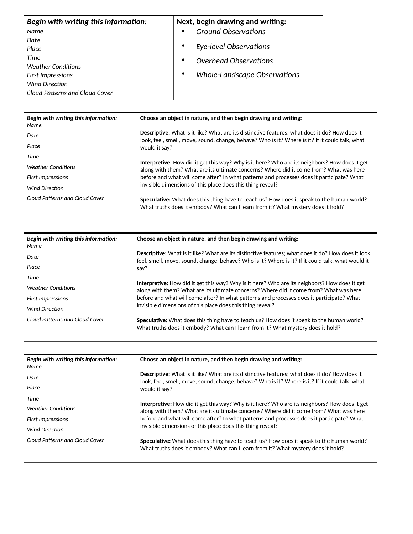| Begin with writing this information: |           | Next, begin drawing and writing: |
|--------------------------------------|-----------|----------------------------------|
| Name                                 | $\bullet$ | <b>Ground Observations</b>       |
| Date                                 |           |                                  |
| Place                                |           | Eye-level Observations           |
| Time                                 | $\bullet$ | Overhead Observations            |
| <b>Weather Conditions</b>            |           |                                  |
| First Impressions                    | ٠         | Whole-Landscape Observations     |
| <b>Wind Direction</b>                |           |                                  |
| Cloud Patterns and Cloud Cover       |           |                                  |

| Begin with writing this information:<br>Name | Choose an object in nature, and then begin drawing and writing:                                                                                                                                        |
|----------------------------------------------|--------------------------------------------------------------------------------------------------------------------------------------------------------------------------------------------------------|
| Date                                         | <b>Descriptive:</b> What is it like? What are its distinctive features; what does it do? How does it<br>look, feel, smell, move, sound, change, behave? Who is it? Where is it? If it could talk, what |
| Place                                        | would it say?                                                                                                                                                                                          |
| Time                                         |                                                                                                                                                                                                        |
| <b>Weather Conditions</b>                    | Interpretive: How did it get this way? Why is it here? Who are its neighbors? How does it get<br>along with them? What are its ultimate concerns? Where did it come from? What was here                |
| <b>First Impressions</b>                     | before and what will come after? In what patterns and processes does it participate? What                                                                                                              |
| <b>Wind Direction</b>                        | invisible dimensions of this place does this thing reveal?                                                                                                                                             |
| Cloud Patterns and Cloud Cover               | Speculative: What does this thing have to teach us? How does it speak to the human world?<br>What truths does it embody? What can I learn from it? What mystery does it hold?                          |

| Begin with writing this information:<br>Name | Choose an object in nature, and then begin drawing and writing:                                                                                                                                                  |
|----------------------------------------------|------------------------------------------------------------------------------------------------------------------------------------------------------------------------------------------------------------------|
| Date                                         | Descriptive: What is it like? What are its distinctive features; what does it do? How does it look,<br>feel, smell, move, sound, change, behave? Who is it? Where is it? If it could talk, what would it<br>say? |
| Place                                        |                                                                                                                                                                                                                  |
| Time                                         |                                                                                                                                                                                                                  |
| <b>Weather Conditions</b>                    | <b>Interpretive:</b> How did it get this way? Why is it here? Who are its neighbors? How does it get<br>along with them? What are its ultimate concerns? Where did it come from? What was here                   |
| <b>First Impressions</b>                     | before and what will come after? In what patterns and processes does it participate? What                                                                                                                        |
| Wind Direction                               | invisible dimensions of this place does this thing reveal?                                                                                                                                                       |
| Cloud Patterns and Cloud Cover               | Speculative: What does this thing have to teach us? How does it speak to the human world?<br>What truths does it embody? What can I learn from it? What mystery does it hold?                                    |

| Begin with writing this information:<br>Name | Choose an object in nature, and then begin drawing and writing:                                                                                                                                                         |
|----------------------------------------------|-------------------------------------------------------------------------------------------------------------------------------------------------------------------------------------------------------------------------|
| Date                                         | <b>Descriptive:</b> What is it like? What are its distinctive features; what does it do? How does it<br>look, feel, smell, move, sound, change, behave? Who is it? Where is it? If it could talk, what<br>would it say? |
| Place                                        |                                                                                                                                                                                                                         |
| Time                                         |                                                                                                                                                                                                                         |
| Weather Conditions                           | Interpretive: How did it get this way? Why is it here? Who are its neighbors? How does it get<br>along with them? What are its ultimate concerns? Where did it come from? What was here                                 |
| <b>First Impressions</b>                     | before and what will come after? In what patterns and processes does it participate? What                                                                                                                               |
| <b>Wind Direction</b>                        | invisible dimensions of this place does this thing reveal?                                                                                                                                                              |
| Cloud Patterns and Cloud Cover               | Speculative: What does this thing have to teach us? How does it speak to the human world?<br>What truths does it embody? What can I learn from it? What mystery does it hold?                                           |